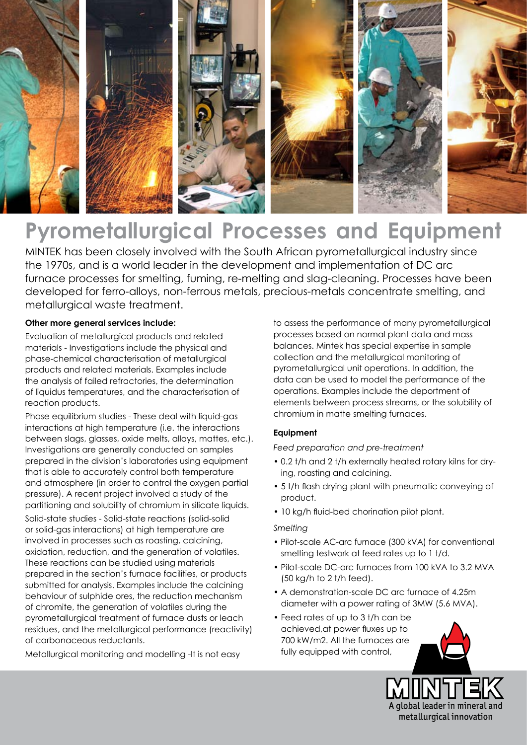

# **Pyrometallurgical Processes and Equipment**

MINTEK has been closely involved with the South African pyrometallurgical industry since the 1970s, and is a world leader in the development and implementation of DC arc furnace processes for smelting, fuming, re-melting and slag-cleaning. Processes have been developed for ferro-alloys, non-ferrous metals, precious-metals concentrate smelting, and metallurgical waste treatment.

# **Other more general services include:**

Evaluation of metallurgical products and related materials - Investigations include the physical and phase-chemical characterisation of metallurgical products and related materials. Examples include the analysis of failed refractories, the determination of liquidus temperatures, and the characterisation of reaction products.

Phase equilibrium studies - These deal with liquid-gas interactions at high temperature (i.e. the interactions between slags, glasses, oxide melts, alloys, mattes, etc.). Investigations are generally conducted on samples prepared in the division's laboratories using equipment that is able to accurately control both temperature and atmosphere (in order to control the oxygen partial pressure). A recent project involved a study of the partitioning and solubility of chromium in silicate liquids.

Solid-state studies - Solid-state reactions (solid-solid or solid-gas interactions) at high temperature are involved in processes such as roasting, calcining, oxidation, reduction, and the generation of volatiles. These reactions can be studied using materials prepared in the section's furnace facilities, or products submitted for analysis. Examples include the calcining behaviour of sulphide ores, the reduction mechanism of chromite, the generation of volatiles during the pyrometallurgical treatment of furnace dusts or leach residues, and the metallurgical performance (reactivity) of carbonaceous reductants.

Metallurgical monitoring and modelling -It is not easy

to assess the performance of many pyrometallurgical processes based on normal plant data and mass balances. Mintek has special expertise in sample collection and the metallurgical monitoring of pyrometallurgical unit operations. In addition, the data can be used to model the performance of the operations. Examples include the deportment of elements between process streams, or the solubility of chromium in matte smelting furnaces.

# **Equipment**

*Feed preparation and pre-treatment*

- 0.2 t/h and 2 t/h externally heated rotary kilns for drying, roasting and calcining.
- 5 t/h flash drying plant with pneumatic conveying of product.
- 10 kg/h fluid-bed chorination pilot plant.

# *Smelting*

- Pilot-scale AC-arc furnace (300 kVA) for conventional smelting testwork at feed rates up to 1 t/d.
- Pilot-scale DC-arc furnaces from 100 kVA to 3.2 MVA (50 kg/h to 2 t/h feed).
- A demonstration-scale DC arc furnace of 4.25m diameter with a power rating of 3MW (5.6 MVA).
- Feed rates of up to 3 t/h can be achieved,at power fluxes up to 700 kW/m2. All the furnaces are fully equipped with control,



alobal leader in mineral and metallurgical innovation